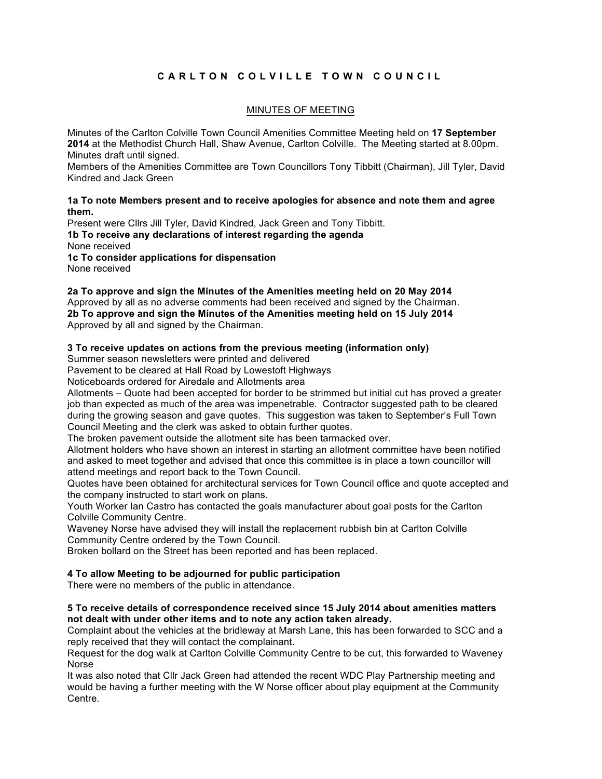# **CARLTON COLVILLE TOW N COUNCIL**

# MINUTES OF MEETING

Minutes of the Carlton Colville Town Council Amenities Committee Meeting held on **17 September 2014** at the Methodist Church Hall, Shaw Avenue, Carlton Colville. The Meeting started at 8.00pm. Minutes draft until signed.

Members of the Amenities Committee are Town Councillors Tony Tibbitt (Chairman), Jill Tyler, David Kindred and Jack Green

**1a To note Members present and to receive apologies for absence and note them and agree them.**

Present were Cllrs Jill Tyler, David Kindred, Jack Green and Tony Tibbitt. **1b To receive any declarations of interest regarding the agenda** None received **1c To consider applications for dispensation** 

None received

**2a To approve and sign the Minutes of the Amenities meeting held on 20 May 2014** Approved by all as no adverse comments had been received and signed by the Chairman. **2b To approve and sign the Minutes of the Amenities meeting held on 15 July 2014** Approved by all and signed by the Chairman.

## **3 To receive updates on actions from the previous meeting (information only)**

Summer season newsletters were printed and delivered

Pavement to be cleared at Hall Road by Lowestoft Highways

Noticeboards ordered for Airedale and Allotments area

Allotments – Quote had been accepted for border to be strimmed but initial cut has proved a greater job than expected as much of the area was impenetrable. Contractor suggested path to be cleared during the growing season and gave quotes. This suggestion was taken to September's Full Town Council Meeting and the clerk was asked to obtain further quotes.

The broken pavement outside the allotment site has been tarmacked over.

Allotment holders who have shown an interest in starting an allotment committee have been notified and asked to meet together and advised that once this committee is in place a town councillor will attend meetings and report back to the Town Council.

Quotes have been obtained for architectural services for Town Council office and quote accepted and the company instructed to start work on plans.

Youth Worker Ian Castro has contacted the goals manufacturer about goal posts for the Carlton Colville Community Centre.

Waveney Norse have advised they will install the replacement rubbish bin at Carlton Colville Community Centre ordered by the Town Council.

Broken bollard on the Street has been reported and has been replaced.

## **4 To allow Meeting to be adjourned for public participation**

There were no members of the public in attendance.

## **5 To receive details of correspondence received since 15 July 2014 about amenities matters not dealt with under other items and to note any action taken already.**

Complaint about the vehicles at the bridleway at Marsh Lane, this has been forwarded to SCC and a reply received that they will contact the complainant.

Request for the dog walk at Carlton Colville Community Centre to be cut, this forwarded to Waveney Norse

It was also noted that Cllr Jack Green had attended the recent WDC Play Partnership meeting and would be having a further meeting with the W Norse officer about play equipment at the Community Centre.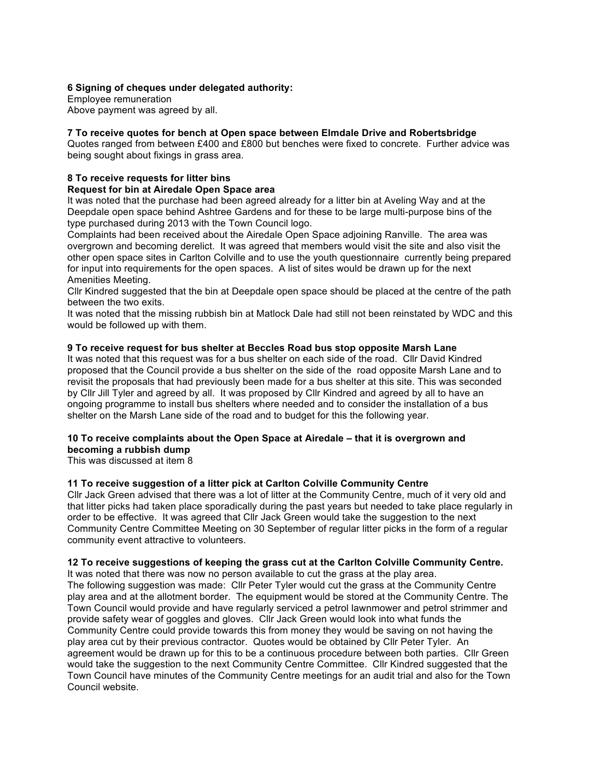## **6 Signing of cheques under delegated authority:**

Employee remuneration Above payment was agreed by all.

# **7 To receive quotes for bench at Open space between Elmdale Drive and Robertsbridge**

Quotes ranged from between £400 and £800 but benches were fixed to concrete. Further advice was being sought about fixings in grass area.

#### **8 To receive requests for litter bins Request for bin at Airedale Open Space area**

It was noted that the purchase had been agreed already for a litter bin at Aveling Way and at the Deepdale open space behind Ashtree Gardens and for these to be large multi-purpose bins of the type purchased during 2013 with the Town Council logo.

Complaints had been received about the Airedale Open Space adjoining Ranville. The area was overgrown and becoming derelict. It was agreed that members would visit the site and also visit the other open space sites in Carlton Colville and to use the youth questionnaire currently being prepared for input into requirements for the open spaces. A list of sites would be drawn up for the next Amenities Meeting.

Cllr Kindred suggested that the bin at Deepdale open space should be placed at the centre of the path between the two exits.

It was noted that the missing rubbish bin at Matlock Dale had still not been reinstated by WDC and this would be followed up with them.

# **9 To receive request for bus shelter at Beccles Road bus stop opposite Marsh Lane**

It was noted that this request was for a bus shelter on each side of the road. Cllr David Kindred proposed that the Council provide a bus shelter on the side of the road opposite Marsh Lane and to revisit the proposals that had previously been made for a bus shelter at this site. This was seconded by Cllr Jill Tyler and agreed by all. It was proposed by Cllr Kindred and agreed by all to have an ongoing programme to install bus shelters where needed and to consider the installation of a bus shelter on the Marsh Lane side of the road and to budget for this the following year.

## **10 To receive complaints about the Open Space at Airedale – that it is overgrown and becoming a rubbish dump**

This was discussed at item 8

## **11 To receive suggestion of a litter pick at Carlton Colville Community Centre**

Cllr Jack Green advised that there was a lot of litter at the Community Centre, much of it very old and that litter picks had taken place sporadically during the past years but needed to take place regularly in order to be effective. It was agreed that Cllr Jack Green would take the suggestion to the next Community Centre Committee Meeting on 30 September of regular litter picks in the form of a regular community event attractive to volunteers.

## **12 To receive suggestions of keeping the grass cut at the Carlton Colville Community Centre.**

It was noted that there was now no person available to cut the grass at the play area. The following suggestion was made: Cllr Peter Tyler would cut the grass at the Community Centre play area and at the allotment border. The equipment would be stored at the Community Centre. The Town Council would provide and have regularly serviced a petrol lawnmower and petrol strimmer and provide safety wear of goggles and gloves. Cllr Jack Green would look into what funds the Community Centre could provide towards this from money they would be saving on not having the play area cut by their previous contractor. Quotes would be obtained by Cllr Peter Tyler. An agreement would be drawn up for this to be a continuous procedure between both parties. Cllr Green would take the suggestion to the next Community Centre Committee. Cllr Kindred suggested that the Town Council have minutes of the Community Centre meetings for an audit trial and also for the Town Council website.